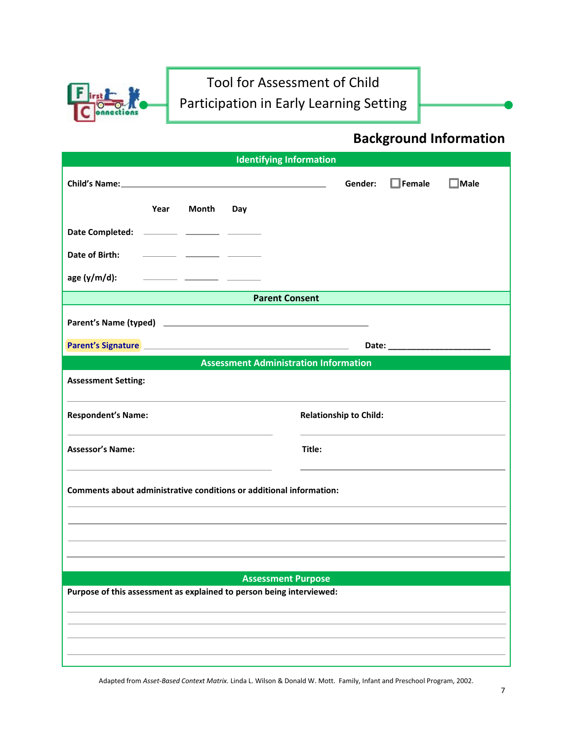

### **Background Information**

| <b>Identifying Information</b>                                                                                  |                                         |  |  |
|-----------------------------------------------------------------------------------------------------------------|-----------------------------------------|--|--|
| Child's Name: 2008 Child's Name:                                                                                | $\Box$ Female<br>Gender:<br>$\Box$ Male |  |  |
| Year<br>Month<br>Day                                                                                            |                                         |  |  |
| Date Completed: __________ ________ _______                                                                     |                                         |  |  |
| Date of Birth:<br><u> 1980 - Jan James James Barbara, martxa</u>                                                |                                         |  |  |
| age $(y/m/d)$ :                                                                                                 |                                         |  |  |
| <b>Parent Consent</b>                                                                                           |                                         |  |  |
|                                                                                                                 |                                         |  |  |
| Parent's Signature 2008 2009 2009 2010 2010 2010 2010 2011 2012 2013 2014 2015 2016 2017 2018 2019 2019 2019 20 |                                         |  |  |
| <b>Assessment Administration Information</b>                                                                    |                                         |  |  |
| <b>Assessment Setting:</b>                                                                                      |                                         |  |  |
| <b>Respondent's Name:</b>                                                                                       | <b>Relationship to Child:</b>           |  |  |
| <b>Assessor's Name:</b>                                                                                         | Title:                                  |  |  |
| Comments about administrative conditions or additional information:                                             |                                         |  |  |
|                                                                                                                 |                                         |  |  |
|                                                                                                                 |                                         |  |  |
|                                                                                                                 |                                         |  |  |
| <b>Assessment Purpose</b><br>Purpose of this assessment as explained to person being interviewed:               |                                         |  |  |
|                                                                                                                 |                                         |  |  |
|                                                                                                                 |                                         |  |  |
|                                                                                                                 |                                         |  |  |
|                                                                                                                 |                                         |  |  |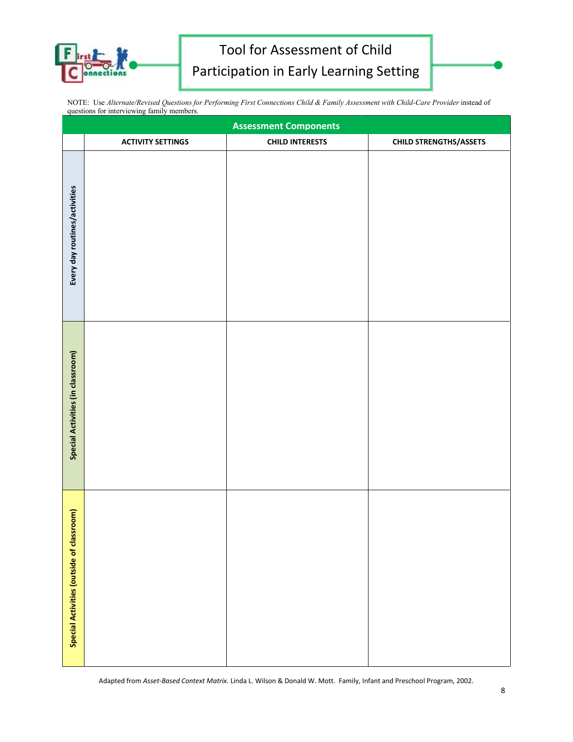

|                                            |  | NOTE: Use Alternate/Revised Questions for Performing First Connections Child & Family Assessment with Child-Care Provider instead of |
|--------------------------------------------|--|--------------------------------------------------------------------------------------------------------------------------------------|
| questions for interviewing family members. |  |                                                                                                                                      |

|                                           | <b>Assessment Components</b> |                        |                               |  |
|-------------------------------------------|------------------------------|------------------------|-------------------------------|--|
|                                           | <b>ACTIVITY SETTINGS</b>     | <b>CHILD INTERESTS</b> | <b>CHILD STRENGTHS/ASSETS</b> |  |
| Every day routines/activities             |                              |                        |                               |  |
| Special Activities (in classroom)         |                              |                        |                               |  |
| Special Activities (outside of classroom) |                              |                        |                               |  |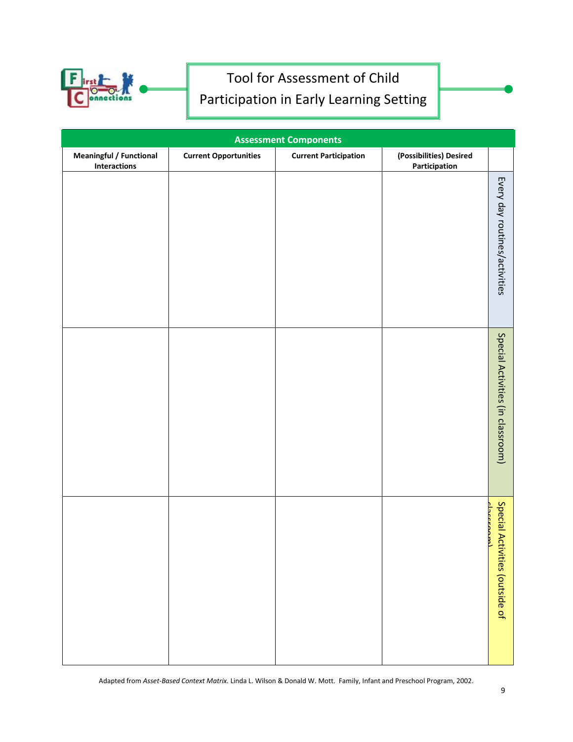

| <b>Assessment Components</b>                          |                              |                              |                                          |                                             |
|-------------------------------------------------------|------------------------------|------------------------------|------------------------------------------|---------------------------------------------|
| <b>Meaningful / Functional</b><br><b>Interactions</b> | <b>Current Opportunities</b> | <b>Current Participation</b> | (Possibilities) Desired<br>Participation |                                             |
|                                                       |                              |                              |                                          | Every day routines/activities               |
|                                                       |                              |                              |                                          | Special Activities (in classroom)           |
|                                                       |                              |                              |                                          | Special Activities (outside of<br>chcceanal |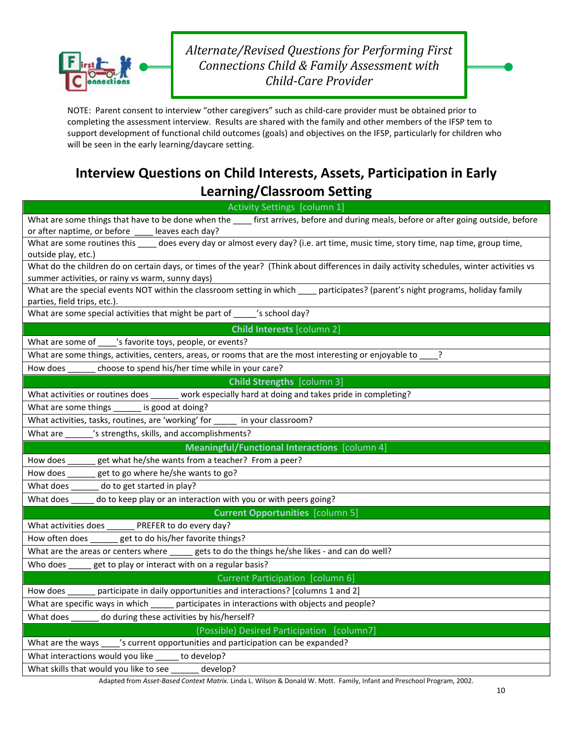

*Alternate/Revised Questions for Performing First Connections Child & Family Assessment with Child-Care Provider* 

NOTE: Parent consent to interview "other caregivers" such as child-care provider must be obtained prior to completing the assessment interview. Results are shared with the family and other members of the IFSP tem to support development of functional child outcomes (goals) and objectives on the IFSP, particularly for children who will be seen in the early learning/daycare setting.

### **Interview Questions on Child Interests, Assets, Participation in Early Learning/Classroom Setting**

| What are some things that have to be done when the _____ first arrives, before and during meals, before or after going outside, before<br>or after naptime, or before _____ leaves each day?<br>What are some routines this _____ does every day or almost every day? (i.e. art time, music time, story time, nap time, group time,<br>outside play, etc.)<br>What do the children do on certain days, or times of the year? (Think about differences in daily activity schedules, winter activities vs<br>summer activities, or rainy vs warm, sunny days)<br>What are the special events NOT within the classroom setting in which ____ participates? (parent's night programs, holiday family<br>parties, field trips, etc.).<br>What are some special activities that might be part of _____'s school day?<br><b>Child Interests [column 2]</b><br>What are some of ____'s favorite toys, people, or events?<br>What are some things, activities, centers, areas, or rooms that are the most interesting or enjoyable to _<br>choose to spend his/her time while in your care?<br>How does<br><b>Child Strengths</b> [column 3]<br>What activities or routines does _____ work especially hard at doing and takes pride in completing?<br>What are some things<br>is good at doing?<br>What activities, tasks, routines, are 'working' for _____ in your classroom?<br>'s strengths, skills, and accomplishments?<br>What are<br>Meaningful/Functional Interactions [column 4]<br>How does ______ get what he/she wants from a teacher? From a peer?<br>get to go where he/she wants to go?<br>How does<br>do to get started in play?<br>What does<br>do to keep play or an interaction with you or with peers going?<br>What does<br><b>Current Opportunities</b> [column 5]<br>What activities does _______ PREFER to do every day?<br>How often does ______ get to do his/her favorite things?<br>What are the areas or centers where _____ gets to do the things he/she likes - and can do well?<br>Who does _____ get to play or interact with on a regular basis?<br>Current Participation [column 6]<br>participate in daily opportunities and interactions? [columns 1 and 2]<br>How does<br>What are specific ways in which ______ participates in interactions with objects and people?<br>do during these activities by his/herself?<br>What does<br>(Possible) Desired Participation [column7] | Activity Settings [column 1] |  |  |
|----------------------------------------------------------------------------------------------------------------------------------------------------------------------------------------------------------------------------------------------------------------------------------------------------------------------------------------------------------------------------------------------------------------------------------------------------------------------------------------------------------------------------------------------------------------------------------------------------------------------------------------------------------------------------------------------------------------------------------------------------------------------------------------------------------------------------------------------------------------------------------------------------------------------------------------------------------------------------------------------------------------------------------------------------------------------------------------------------------------------------------------------------------------------------------------------------------------------------------------------------------------------------------------------------------------------------------------------------------------------------------------------------------------------------------------------------------------------------------------------------------------------------------------------------------------------------------------------------------------------------------------------------------------------------------------------------------------------------------------------------------------------------------------------------------------------------------------------------------------------------------------------------------------------------------------------------------------------------------------------------------------------------------------------------------------------------------------------------------------------------------------------------------------------------------------------------------------------------------------------------------------------------------------------------------------------------------------------------------------------------------------------------------------|------------------------------|--|--|
|                                                                                                                                                                                                                                                                                                                                                                                                                                                                                                                                                                                                                                                                                                                                                                                                                                                                                                                                                                                                                                                                                                                                                                                                                                                                                                                                                                                                                                                                                                                                                                                                                                                                                                                                                                                                                                                                                                                                                                                                                                                                                                                                                                                                                                                                                                                                                                                                                |                              |  |  |
|                                                                                                                                                                                                                                                                                                                                                                                                                                                                                                                                                                                                                                                                                                                                                                                                                                                                                                                                                                                                                                                                                                                                                                                                                                                                                                                                                                                                                                                                                                                                                                                                                                                                                                                                                                                                                                                                                                                                                                                                                                                                                                                                                                                                                                                                                                                                                                                                                |                              |  |  |
|                                                                                                                                                                                                                                                                                                                                                                                                                                                                                                                                                                                                                                                                                                                                                                                                                                                                                                                                                                                                                                                                                                                                                                                                                                                                                                                                                                                                                                                                                                                                                                                                                                                                                                                                                                                                                                                                                                                                                                                                                                                                                                                                                                                                                                                                                                                                                                                                                |                              |  |  |
|                                                                                                                                                                                                                                                                                                                                                                                                                                                                                                                                                                                                                                                                                                                                                                                                                                                                                                                                                                                                                                                                                                                                                                                                                                                                                                                                                                                                                                                                                                                                                                                                                                                                                                                                                                                                                                                                                                                                                                                                                                                                                                                                                                                                                                                                                                                                                                                                                |                              |  |  |
|                                                                                                                                                                                                                                                                                                                                                                                                                                                                                                                                                                                                                                                                                                                                                                                                                                                                                                                                                                                                                                                                                                                                                                                                                                                                                                                                                                                                                                                                                                                                                                                                                                                                                                                                                                                                                                                                                                                                                                                                                                                                                                                                                                                                                                                                                                                                                                                                                |                              |  |  |
|                                                                                                                                                                                                                                                                                                                                                                                                                                                                                                                                                                                                                                                                                                                                                                                                                                                                                                                                                                                                                                                                                                                                                                                                                                                                                                                                                                                                                                                                                                                                                                                                                                                                                                                                                                                                                                                                                                                                                                                                                                                                                                                                                                                                                                                                                                                                                                                                                |                              |  |  |
|                                                                                                                                                                                                                                                                                                                                                                                                                                                                                                                                                                                                                                                                                                                                                                                                                                                                                                                                                                                                                                                                                                                                                                                                                                                                                                                                                                                                                                                                                                                                                                                                                                                                                                                                                                                                                                                                                                                                                                                                                                                                                                                                                                                                                                                                                                                                                                                                                |                              |  |  |
|                                                                                                                                                                                                                                                                                                                                                                                                                                                                                                                                                                                                                                                                                                                                                                                                                                                                                                                                                                                                                                                                                                                                                                                                                                                                                                                                                                                                                                                                                                                                                                                                                                                                                                                                                                                                                                                                                                                                                                                                                                                                                                                                                                                                                                                                                                                                                                                                                |                              |  |  |
|                                                                                                                                                                                                                                                                                                                                                                                                                                                                                                                                                                                                                                                                                                                                                                                                                                                                                                                                                                                                                                                                                                                                                                                                                                                                                                                                                                                                                                                                                                                                                                                                                                                                                                                                                                                                                                                                                                                                                                                                                                                                                                                                                                                                                                                                                                                                                                                                                |                              |  |  |
|                                                                                                                                                                                                                                                                                                                                                                                                                                                                                                                                                                                                                                                                                                                                                                                                                                                                                                                                                                                                                                                                                                                                                                                                                                                                                                                                                                                                                                                                                                                                                                                                                                                                                                                                                                                                                                                                                                                                                                                                                                                                                                                                                                                                                                                                                                                                                                                                                |                              |  |  |
|                                                                                                                                                                                                                                                                                                                                                                                                                                                                                                                                                                                                                                                                                                                                                                                                                                                                                                                                                                                                                                                                                                                                                                                                                                                                                                                                                                                                                                                                                                                                                                                                                                                                                                                                                                                                                                                                                                                                                                                                                                                                                                                                                                                                                                                                                                                                                                                                                |                              |  |  |
|                                                                                                                                                                                                                                                                                                                                                                                                                                                                                                                                                                                                                                                                                                                                                                                                                                                                                                                                                                                                                                                                                                                                                                                                                                                                                                                                                                                                                                                                                                                                                                                                                                                                                                                                                                                                                                                                                                                                                                                                                                                                                                                                                                                                                                                                                                                                                                                                                |                              |  |  |
|                                                                                                                                                                                                                                                                                                                                                                                                                                                                                                                                                                                                                                                                                                                                                                                                                                                                                                                                                                                                                                                                                                                                                                                                                                                                                                                                                                                                                                                                                                                                                                                                                                                                                                                                                                                                                                                                                                                                                                                                                                                                                                                                                                                                                                                                                                                                                                                                                |                              |  |  |
|                                                                                                                                                                                                                                                                                                                                                                                                                                                                                                                                                                                                                                                                                                                                                                                                                                                                                                                                                                                                                                                                                                                                                                                                                                                                                                                                                                                                                                                                                                                                                                                                                                                                                                                                                                                                                                                                                                                                                                                                                                                                                                                                                                                                                                                                                                                                                                                                                |                              |  |  |
|                                                                                                                                                                                                                                                                                                                                                                                                                                                                                                                                                                                                                                                                                                                                                                                                                                                                                                                                                                                                                                                                                                                                                                                                                                                                                                                                                                                                                                                                                                                                                                                                                                                                                                                                                                                                                                                                                                                                                                                                                                                                                                                                                                                                                                                                                                                                                                                                                |                              |  |  |
|                                                                                                                                                                                                                                                                                                                                                                                                                                                                                                                                                                                                                                                                                                                                                                                                                                                                                                                                                                                                                                                                                                                                                                                                                                                                                                                                                                                                                                                                                                                                                                                                                                                                                                                                                                                                                                                                                                                                                                                                                                                                                                                                                                                                                                                                                                                                                                                                                |                              |  |  |
|                                                                                                                                                                                                                                                                                                                                                                                                                                                                                                                                                                                                                                                                                                                                                                                                                                                                                                                                                                                                                                                                                                                                                                                                                                                                                                                                                                                                                                                                                                                                                                                                                                                                                                                                                                                                                                                                                                                                                                                                                                                                                                                                                                                                                                                                                                                                                                                                                |                              |  |  |
|                                                                                                                                                                                                                                                                                                                                                                                                                                                                                                                                                                                                                                                                                                                                                                                                                                                                                                                                                                                                                                                                                                                                                                                                                                                                                                                                                                                                                                                                                                                                                                                                                                                                                                                                                                                                                                                                                                                                                                                                                                                                                                                                                                                                                                                                                                                                                                                                                |                              |  |  |
|                                                                                                                                                                                                                                                                                                                                                                                                                                                                                                                                                                                                                                                                                                                                                                                                                                                                                                                                                                                                                                                                                                                                                                                                                                                                                                                                                                                                                                                                                                                                                                                                                                                                                                                                                                                                                                                                                                                                                                                                                                                                                                                                                                                                                                                                                                                                                                                                                |                              |  |  |
|                                                                                                                                                                                                                                                                                                                                                                                                                                                                                                                                                                                                                                                                                                                                                                                                                                                                                                                                                                                                                                                                                                                                                                                                                                                                                                                                                                                                                                                                                                                                                                                                                                                                                                                                                                                                                                                                                                                                                                                                                                                                                                                                                                                                                                                                                                                                                                                                                |                              |  |  |
|                                                                                                                                                                                                                                                                                                                                                                                                                                                                                                                                                                                                                                                                                                                                                                                                                                                                                                                                                                                                                                                                                                                                                                                                                                                                                                                                                                                                                                                                                                                                                                                                                                                                                                                                                                                                                                                                                                                                                                                                                                                                                                                                                                                                                                                                                                                                                                                                                |                              |  |  |
|                                                                                                                                                                                                                                                                                                                                                                                                                                                                                                                                                                                                                                                                                                                                                                                                                                                                                                                                                                                                                                                                                                                                                                                                                                                                                                                                                                                                                                                                                                                                                                                                                                                                                                                                                                                                                                                                                                                                                                                                                                                                                                                                                                                                                                                                                                                                                                                                                |                              |  |  |
|                                                                                                                                                                                                                                                                                                                                                                                                                                                                                                                                                                                                                                                                                                                                                                                                                                                                                                                                                                                                                                                                                                                                                                                                                                                                                                                                                                                                                                                                                                                                                                                                                                                                                                                                                                                                                                                                                                                                                                                                                                                                                                                                                                                                                                                                                                                                                                                                                |                              |  |  |
|                                                                                                                                                                                                                                                                                                                                                                                                                                                                                                                                                                                                                                                                                                                                                                                                                                                                                                                                                                                                                                                                                                                                                                                                                                                                                                                                                                                                                                                                                                                                                                                                                                                                                                                                                                                                                                                                                                                                                                                                                                                                                                                                                                                                                                                                                                                                                                                                                |                              |  |  |
|                                                                                                                                                                                                                                                                                                                                                                                                                                                                                                                                                                                                                                                                                                                                                                                                                                                                                                                                                                                                                                                                                                                                                                                                                                                                                                                                                                                                                                                                                                                                                                                                                                                                                                                                                                                                                                                                                                                                                                                                                                                                                                                                                                                                                                                                                                                                                                                                                |                              |  |  |
|                                                                                                                                                                                                                                                                                                                                                                                                                                                                                                                                                                                                                                                                                                                                                                                                                                                                                                                                                                                                                                                                                                                                                                                                                                                                                                                                                                                                                                                                                                                                                                                                                                                                                                                                                                                                                                                                                                                                                                                                                                                                                                                                                                                                                                                                                                                                                                                                                |                              |  |  |
|                                                                                                                                                                                                                                                                                                                                                                                                                                                                                                                                                                                                                                                                                                                                                                                                                                                                                                                                                                                                                                                                                                                                                                                                                                                                                                                                                                                                                                                                                                                                                                                                                                                                                                                                                                                                                                                                                                                                                                                                                                                                                                                                                                                                                                                                                                                                                                                                                |                              |  |  |
|                                                                                                                                                                                                                                                                                                                                                                                                                                                                                                                                                                                                                                                                                                                                                                                                                                                                                                                                                                                                                                                                                                                                                                                                                                                                                                                                                                                                                                                                                                                                                                                                                                                                                                                                                                                                                                                                                                                                                                                                                                                                                                                                                                                                                                                                                                                                                                                                                |                              |  |  |
|                                                                                                                                                                                                                                                                                                                                                                                                                                                                                                                                                                                                                                                                                                                                                                                                                                                                                                                                                                                                                                                                                                                                                                                                                                                                                                                                                                                                                                                                                                                                                                                                                                                                                                                                                                                                                                                                                                                                                                                                                                                                                                                                                                                                                                                                                                                                                                                                                |                              |  |  |
|                                                                                                                                                                                                                                                                                                                                                                                                                                                                                                                                                                                                                                                                                                                                                                                                                                                                                                                                                                                                                                                                                                                                                                                                                                                                                                                                                                                                                                                                                                                                                                                                                                                                                                                                                                                                                                                                                                                                                                                                                                                                                                                                                                                                                                                                                                                                                                                                                |                              |  |  |
|                                                                                                                                                                                                                                                                                                                                                                                                                                                                                                                                                                                                                                                                                                                                                                                                                                                                                                                                                                                                                                                                                                                                                                                                                                                                                                                                                                                                                                                                                                                                                                                                                                                                                                                                                                                                                                                                                                                                                                                                                                                                                                                                                                                                                                                                                                                                                                                                                |                              |  |  |
|                                                                                                                                                                                                                                                                                                                                                                                                                                                                                                                                                                                                                                                                                                                                                                                                                                                                                                                                                                                                                                                                                                                                                                                                                                                                                                                                                                                                                                                                                                                                                                                                                                                                                                                                                                                                                                                                                                                                                                                                                                                                                                                                                                                                                                                                                                                                                                                                                |                              |  |  |
| What are the ways _____'s current opportunities and participation can be expanded?                                                                                                                                                                                                                                                                                                                                                                                                                                                                                                                                                                                                                                                                                                                                                                                                                                                                                                                                                                                                                                                                                                                                                                                                                                                                                                                                                                                                                                                                                                                                                                                                                                                                                                                                                                                                                                                                                                                                                                                                                                                                                                                                                                                                                                                                                                                             |                              |  |  |
| What interactions would you like _____ to develop?                                                                                                                                                                                                                                                                                                                                                                                                                                                                                                                                                                                                                                                                                                                                                                                                                                                                                                                                                                                                                                                                                                                                                                                                                                                                                                                                                                                                                                                                                                                                                                                                                                                                                                                                                                                                                                                                                                                                                                                                                                                                                                                                                                                                                                                                                                                                                             |                              |  |  |
| What skills that would you like to see ______ develop?                                                                                                                                                                                                                                                                                                                                                                                                                                                                                                                                                                                                                                                                                                                                                                                                                                                                                                                                                                                                                                                                                                                                                                                                                                                                                                                                                                                                                                                                                                                                                                                                                                                                                                                                                                                                                                                                                                                                                                                                                                                                                                                                                                                                                                                                                                                                                         |                              |  |  |